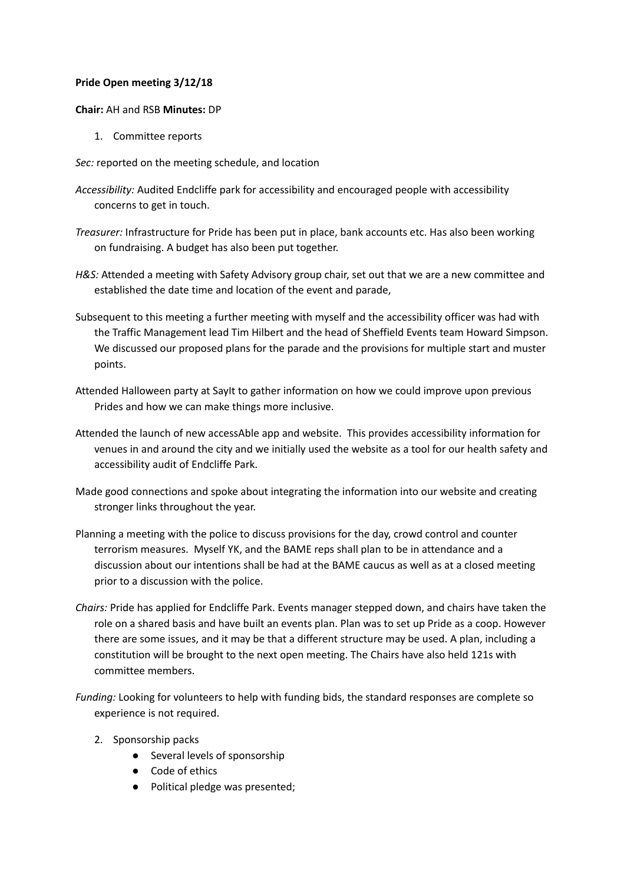## **Pride Open meeting 3/12/18**

## **Chair:** AH and RSB **Minutes:** DP

1. Committee reports

*Sec:* reported on the meeting schedule, and location

- *Accessibility:* Audited Endcliffe park for accessibility and encouraged people with accessibility concerns to get in touch.
- *Treasurer:* Infrastructure for Pride has been put in place, bank accounts etc. Has also been working on fundraising. A budget has also been put together.
- *H&S:* Attended a meeting with Safety Advisory group chair, set out that we are a new committee and established the date time and location of the event and parade,
- Subsequent to this meeting a further meeting with myself and the accessibility officer was had with the Traffic Management lead Tim Hilbert and the head of Sheffield Events team Howard Simpson. We discussed our proposed plans for the parade and the provisions for multiple start and muster points.
- Attended Halloween party at SayIt to gather information on how we could improve upon previous Prides and how we can make things more inclusive.
- Attended the launch of new accessAble app and website. This provides accessibility information for venues in and around the city and we initially used the website as a tool for our health safety and accessibility audit of Endcliffe Park.
- Made good connections and spoke about integrating the information into our website and creating stronger links throughout the year.
- Planning a meeting with the police to discuss provisions for the day, crowd control and counter terrorism measures. Myself YK, and the BAME reps shall plan to be in attendance and a discussion about our intentions shall be had at the BAME caucus as well as at a closed meeting prior to a discussion with the police.
- *Chairs:* Pride has applied for Endcliffe Park. Events manager stepped down, and chairs have taken the role on a shared basis and have built an events plan. Plan was to set up Pride as a coop. However there are some issues, and it may be that a different structure may be used. A plan, including a constitution will be brought to the next open meeting. The Chairs have also held 121s with committee members.
- *Funding:* Looking for volunteers to help with funding bids, the standard responses are complete so experience is not required.
	- 2. Sponsorship packs
		- Several levels of sponsorship
		- Code of ethics
		- Political pledge was presented;